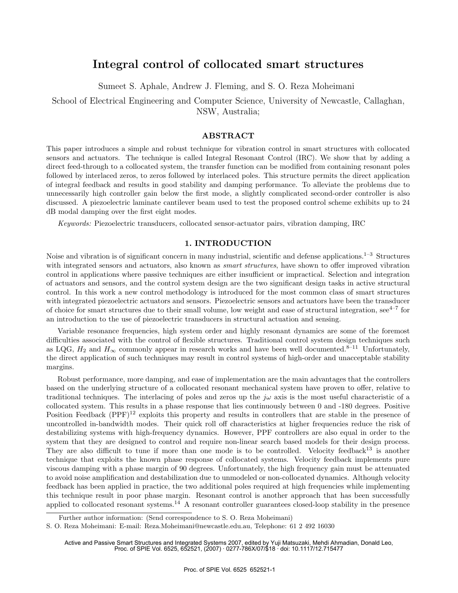# **Integral control of collocated smart structures**

Sumeet S. Aphale, Andrew J. Fleming, and S. O. Reza Moheimani

School of Electrical Engineering and Computer Science, University of Newcastle, Callaghan, NSW, Australia;

# **ABSTRACT**

This paper introduces a simple and robust technique for vibration control in smart structures with collocated sensors and actuators. The technique is called Integral Resonant Control (IRC). We show that by adding a direct feed-through to a collocated system, the transfer function can be modified from containing resonant poles followed by interlaced zeros, to zeros followed by interlaced poles. This structure permits the direct application of integral feedback and results in good stability and damping performance. To alleviate the problems due to unnecessarily high controller gain below the first mode, a slightly complicated second-order controller is also discussed. A piezoelectric laminate cantilever beam used to test the proposed control scheme exhibits up to 24 dB modal damping over the first eight modes.

*Keywords:* Piezoelectric transducers, collocated sensor-actuator pairs, vibration damping, IRC

# **1. INTRODUCTION**

Noise and vibration is of significant concern in many industrial, scientific and defense applications.<sup>1–3</sup> Structures with integrated sensors and actuators, also known as *smart structures*, have shown to offer improved vibration control in applications where passive techniques are either insufficient or impractical. Selection and integration of actuators and sensors, and the control system design are the two significant design tasks in active structural control. In this work a new control methodology is introduced for the most common class of smart structures with integrated piezoelectric actuators and sensors. Piezoelectric sensors and actuators have been the transducer of choice for smart structures due to their small volume, low weight and ease of structural integration,  $\sec^{4-7}$  for an introduction to the use of piezoelectric transducers in structural actuation and sensing.

Variable resonance frequencies, high system order and highly resonant dynamics are some of the foremost difficulties associated with the control of flexible structures. Traditional control system design techniques such as LQG,  $H_2$  and  $H_{\infty}$  commonly appear in research works and have been well documented.<sup>8–11</sup> Unfortunately, the direct application of such techniques may result in control systems of high-order and unacceptable stability margins.

Robust performance, more damping, and ease of implementation are the main advantages that the controllers based on the underlying structure of a collocated resonant mechanical system have proven to offer, relative to traditional techniques. The interlacing of poles and zeros up the  $j\omega$  axis is the most useful characteristic of a collocated system. This results in a phase response that lies continuously between 0 and -180 degrees. Positive Position Feedback (PPF)<sup>12</sup> exploits this property and results in controllers that are stable in the presence of uncontrolled in-bandwidth modes. Their quick roll off characteristics at higher frequencies reduce the risk of destabilizing systems with high-frequency dynamics. However, PPF controllers are also equal in order to the system that they are designed to control and require non-linear search based models for their design process. They are also difficult to tune if more than one mode is to be controlled. Velocity feedback<sup>13</sup> is another technique that exploits the known phase response of collocated systems. Velocity feedback implements pure viscous damping with a phase margin of 90 degrees. Unfortunately, the high frequency gain must be attenuated to avoid noise amplification and destabilization due to unmodeled or non-collocated dynamics. Although velocity feedback has been applied in practice, the two additional poles required at high frequencies while implementing this technique result in poor phase margin. Resonant control is another approach that has been successfully applied to collocated resonant systems.<sup>14</sup> A resonant controller guarantees closed-loop stability in the presence

Further author information: (Send correspondence to S. O. Reza Moheimani)

S. O. Reza Moheimani: E-mail: Reza.Moheimani@newcastle.edu.au, Telephone: 61 2 492 16030

Active and Passive Smart Structures and Integrated Systems 2007, edited by Yuji Matsuzaki, Mehdi Ahmadian, Donald Leo, Proc. of SPIE Vol. 6525, 652521, (2007) · 0277-786X/07/\$18 · doi: 10.1117/12.715477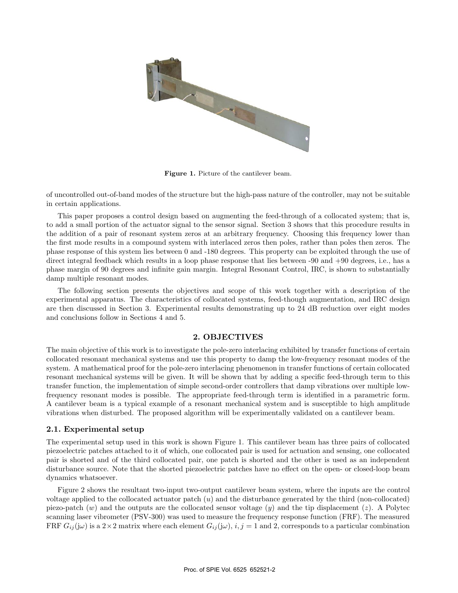

**Figure 1.** Picture of the cantilever beam.

of uncontrolled out-of-band modes of the structure but the high-pass nature of the controller, may not be suitable in certain applications.

This paper proposes a control design based on augmenting the feed-through of a collocated system; that is, to add a small portion of the actuator signal to the sensor signal. Section 3 shows that this procedure results in the addition of a pair of resonant system zeros at an arbitrary frequency. Choosing this frequency lower than the first mode results in a compound system with interlaced zeros then poles, rather than poles then zeros. The phase response of this system lies between 0 and -180 degrees. This property can be exploited through the use of direct integral feedback which results in a loop phase response that lies between -90 and +90 degrees, i.e., has a phase margin of 90 degrees and infinite gain margin. Integral Resonant Control, IRC, is shown to substantially damp multiple resonant modes.

The following section presents the objectives and scope of this work together with a description of the experimental apparatus. The characteristics of collocated systems, feed-though augmentation, and IRC design are then discussed in Section 3. Experimental results demonstrating up to 24 dB reduction over eight modes and conclusions follow in Sections 4 and 5.

# **2. OBJECTIVES**

The main objective of this work is to investigate the pole-zero interlacing exhibited by transfer functions of certain collocated resonant mechanical systems and use this property to damp the low-frequency resonant modes of the system. A mathematical proof for the pole-zero interlacing phenomenon in transfer functions of certain collocated resonant mechanical systems will be given. It will be shown that by adding a specific feed-through term to this transfer function, the implementation of simple second-order controllers that damp vibrations over multiple lowfrequency resonant modes is possible. The appropriate feed-through term is identified in a parametric form. A cantilever beam is a typical example of a resonant mechanical system and is susceptible to high amplitude vibrations when disturbed. The proposed algorithm will be experimentally validated on a cantilever beam.

#### **2.1. Experimental setup**

The experimental setup used in this work is shown Figure 1. This cantilever beam has three pairs of collocated piezoelectric patches attached to it of which, one collocated pair is used for actuation and sensing, one collocated pair is shorted and of the third collocated pair, one patch is shorted and the other is used as an independent disturbance source. Note that the shorted piezoelectric patches have no effect on the open- or closed-loop beam dynamics whatsoever.

Figure 2 shows the resultant two-input two-output cantilever beam system, where the inputs are the control voltage applied to the collocated actuator patch  $(u)$  and the disturbance generated by the third (non-collocated) piezo-patch  $(w)$  and the outputs are the collocated sensor voltage  $(y)$  and the tip displacement  $(z)$ . A Polytec scanning laser vibrometer (PSV-300) was used to measure the frequency response function (FRF). The measured FRF  $G_{ij}(\mathbf{j}\omega)$  is a  $2\times 2$  matrix where each element  $G_{ij}(\mathbf{j}\omega)$ ,  $i, j = 1$  and 2, corresponds to a particular combination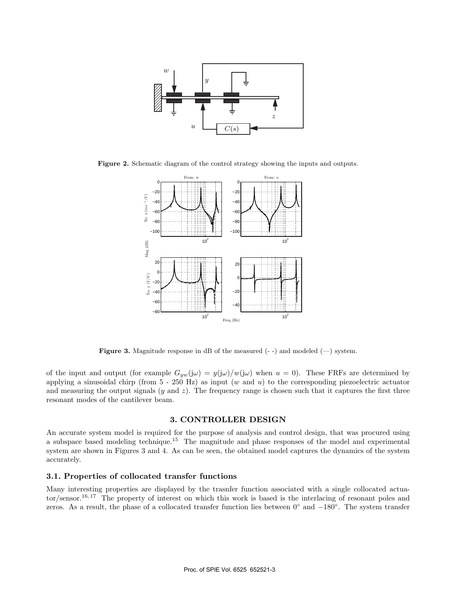

**Figure 2.** Schematic diagram of the control strategy showing the inputs and outputs.



**Figure 3.** Magnitude response in dB of the measured  $(-)$  and modeled  $(-)$  system.

of the input and output (for example  $G_{yw}(j\omega) = y(j\omega)/w(j\omega)$  when  $u = 0$ ). These FRFs are determined by applying a sinusoidal chirp (from  $5 - 250$  Hz) as input  $(w \text{ and } u)$  to the corresponding piezoelectric actuator and measuring the output signals  $(y \text{ and } z)$ . The frequency range is chosen such that it captures the first three resonant modes of the cantilever beam.

# **3. CONTROLLER DESIGN**

An accurate system model is required for the purpose of analysis and control design, that was procured using a subspace based modeling technique.<sup>15</sup> The magnitude and phase responses of the model and experimental system are shown in Figures 3 and 4. As can be seen, the obtained model captures the dynamics of the system accurately.

# **3.1. Properties of collocated transfer functions**

Many interesting properties are displayed by the trasnfer function associated with a single collocated actuator/sensor.16, 17 The property of interest on which this work is based is the interlacing of resonant poles and zeros. As a result, the phase of a collocated transfer function lies between 0◦ and −180◦. The system transfer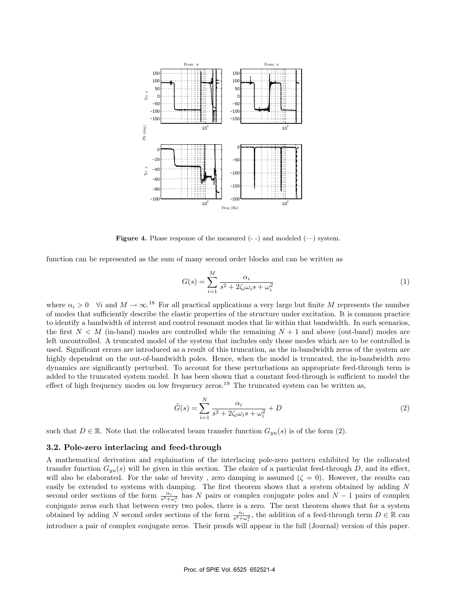

**Figure 4.** Phase response of the measured  $(-)$  and modeled  $(-)$  system.

function can be represented as the sum of many second order blocks and can be written as

$$
G(s) = \sum_{i=1}^{M} \frac{\alpha_i}{s^2 + 2\zeta_i \omega_i s + \omega_i^2}
$$
 (1)

where  $\alpha_i > 0$   $\forall i$  and  $M \to \infty$ .<sup>18</sup> For all practical applications a very large but finite M represents the number of modes that sufficiently describe the elastic properties of the structure under excitation. It is common practice to identify a bandwidth of interest and control resonant modes that lie within that bandwidth. In such scenarios, the first  $N < M$  (in-band) modes are controlled while the remaining  $N + 1$  and above (out-band) modes are left uncontrolled. A truncated model of the system that includes only those modes which are to be controlled is used. Significant errors are introduced as a result of this truncation, as the in-bandwidth zeros of the system are highly dependent on the out-of-bandwidth poles. Hence, when the model is truncated, the in-bandwidth zero dynamics are significantly perturbed. To account for these perturbations an appropriate feed-through term is added to the truncated system model. It has been shown that a constant feed-through is sufficient to model the effect of high frequency modes on low frequency zeros.<sup>19</sup> The truncated system can be written as,

$$
\tilde{G}(s) = \sum_{i=1}^{N} \frac{\alpha_i}{s^2 + 2\zeta_i \omega_i s + \omega_i^2} + D
$$
\n(2)

such that  $D \in \mathbb{R}$ . Note that the collocated beam transfer function  $G_{yu}(s)$  is of the form (2).

#### **3.2. Pole-zero interlacing and feed-through**

A mathematical derivation and explaination of the interlacing pole-zero pattern exhibited by the collocated transfer function  $G_{yu}(s)$  will be given in this section. The choice of a particulat feed-through D, and its effect, will also be elaborated. For the sake of brevity, zero damping is assumed  $(\zeta = 0)$ . However, the results can easily be extended to systems with damping. The first theorem shows that a system obtained by adding N second order sections of the form  $\frac{\alpha_i}{s^2+\omega_i^2}$  has N pairs or complex conjugate poles and N − 1 pairs of complex conjugate zeros such that between every two poles, there is a zero. The next theorem shows that for a system obtained by adding N second order sections of the form  $\frac{\alpha_i}{s^2 + \omega_i^2}$ , the addition of a feed-through term  $D \in \mathbb{R}$  can introduce a pair of complex conjugate zeros. Their proofs will appear in the full (Journal) version of this paper.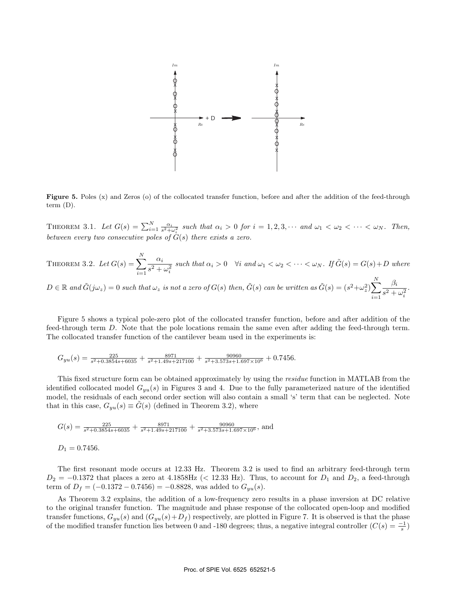

**Figure 5.** Poles (x) and Zeros (o) of the collocated transfer function, before and after the addition of the feed-through term (D).

THEOREM 3.1. Let  $G(s) = \sum_{i=1}^{N} \frac{\alpha_i}{s^2 + \omega_i^2}$  such that  $\alpha_i > 0$  for  $i = 1, 2, 3, \cdots$  and  $\omega_1 < \omega_2 < \cdots < \omega_N$ . Then, *between every two consecutive poles of* G(s) *there exists a zero.*

THEOREM 3.2. Let 
$$
G(s) = \sum_{i=1}^{N} \frac{\alpha_i}{s^2 + \omega_i^2}
$$
 such that  $\alpha_i > 0$   $\forall i$  and  $\omega_1 < \omega_2 < \cdots < \omega_N$ . If  $\tilde{G}(s) = G(s) + D$  where  $D \in \mathbb{R}$  and  $\tilde{G}(j\omega_z) = 0$  such that  $\omega_z$  is not a zero of  $G(s)$  then,  $\tilde{G}(s)$  can be written as  $\tilde{G}(s) = (s^2 + \omega_z^2) \sum_{i=1}^{N} \frac{\beta_i}{s^2 + \omega_i^2}$ .

Figure 5 shows a typical pole-zero plot of the collocated transfer function, before and after addition of the feed-through term D. Note that the pole locations remain the same even after adding the feed-through term. The collocated transfer function of the cantilever beam used in the experiments is:

$$
G_{yu}(s) = \frac{225}{s^2 + 0.3854s + 6035} + \frac{8971}{s^2 + 1.49s + 217100} + \frac{90960}{s^2 + 3.573s + 1.697 \times 10^6} + 0.7456.
$$

This fixed structure form can be obtained approximately by using the *residue* function in MATLAB from the identified collocated model  $G_{uu}(s)$  in Figures 3 and 4. Due to the fully parameterized nature of the identified model, the residuals of each second order section will also contain a small 's' term that can be neglected. Note that in this case,  $G_{yu}(s) \equiv G(s)$  (defined in Theorem 3.2), where

$$
G(s) = \frac{225}{s^2 + 0.3854s + 6035} + \frac{8971}{s^2 + 1.49s + 217100} + \frac{90960}{s^2 + 3.573s + 1.697 \times 10^6}
$$
, and

$$
D_1 = 0.7456.
$$

The first resonant mode occurs at 12.33 Hz. Theorem 3.2 is used to find an arbitrary feed-through term  $D_2 = -0.1372$  that places a zero at 4.1858Hz (< 12.33 Hz). Thus, to account for  $D_1$  and  $D_2$ , a feed-through term of  $D_f = (-0.1372 - 0.7456) = -0.8828$ , was added to  $G_{yu}(s)$ .

As Theorem 3.2 explains, the addition of a low-frequency zero results in a phase inversion at DC relative to the original transfer function. The magnitude and phase response of the collocated open-loop and modified transfer functions,  $G_{yu}(s)$  and  $(G_{yu}(s)+D_f)$  respectively, are plotted in Figure 7. It is observed is that the phase of the modified transfer function lies between 0 and -180 degrees; thus, a negative integral controller  $(C(s) = \frac{-1}{s})$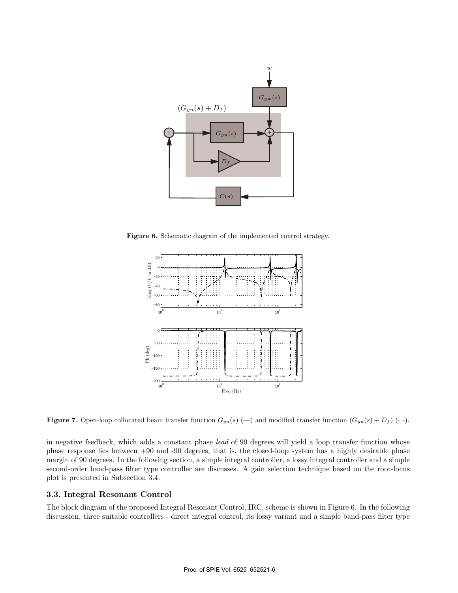

**Figure 6.** Schematic diagram of the implemented control strategy.



**Figure 7.** Open-loop collocated beam transfer function  $G_{yu}(s)$  (-) and modified transfer function  $(G_{yu}(s) + D_f)$  (--).

in negative feedback, which adds a constant phase *lead* of 90 degrees will yield a loop transfer function whose phase response lies between +90 and -90 degrees, that is, the closed-loop system has a highly desirable phase margin of 90 degrees. In the following section, a simple integral controller, a lossy integral controller and a simple second-order band-pass filter type controller are discusses. A gain selection technique based on the root-locus plot is presented in Subsection 3.4.

# **3.3. Integral Resonant Control**

The block diagram of the proposed Integral Resonant Control, IRC, scheme is shown in Figure 6. In the following discussion, three suitable controllers - direct integral control, its lossy variant and a simple band-pass filter type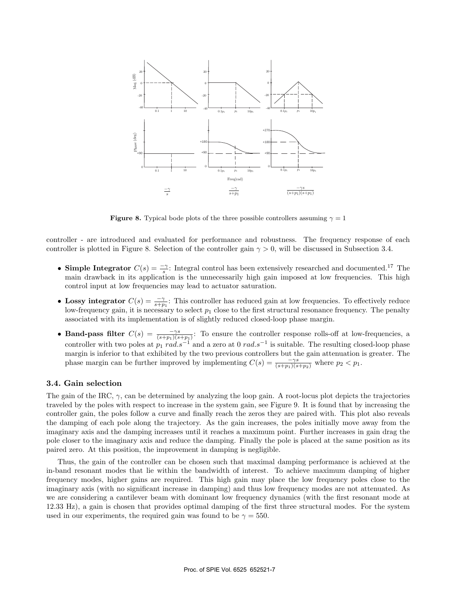

**Figure 8.** Typical bode plots of the three possible controllers assuming  $\gamma = 1$ 

controller - are introduced and evaluated for performance and robustness. The frequency response of each controller is plotted in Figure 8. Selection of the controller gain  $\gamma > 0$ , will be discussed in Subsection 3.4.

- **Simple Integrator**  $C(s) = \frac{-\gamma}{s}$ : Integral control has been extensively researched and documented.<sup>17</sup> The main drawback in its application is the unnecessarily high gain imposed at low frequencies. This high control input at low frequencies may lead to actuator saturation.
- Lossy integrator  $C(s) = \frac{-\gamma}{s+p_1}$ : This controller has reduced gain at low frequencies. To effectively reduce low-frequency gain, it is necessary to select  $p_1$  close to the first structural resonance frequency. The penalty associated with its implementation is of slightly reduced closed-loop phase margin.
- **Band-pass filter**  $C(s) = \frac{-\gamma s}{(s+p_1)(s+p_1)}$ : To ensure the controller response rolls-off at low-frequencies, a controller with two poles at  $p_1$  rad.s<sup>-1</sup> and a zero at 0 rad.s<sup>-1</sup> is suitable. The resulting closed-loop phase margin is inferior to that exhibited by the two previous controllers but the gain attenuation is greater. The phase margin can be further improved by implementing  $C(s) = \frac{-\gamma s}{(s+p_1)(s+p_2)}$  where  $p_2 < p_1$ .

# **3.4. Gain selection**

The gain of the IRC,  $\gamma$ , can be determined by analyzing the loop gain. A root-locus plot depicts the trajectories traveled by the poles with respect to increase in the system gain, see Figure 9. It is found that by increasing the controller gain, the poles follow a curve and finally reach the zeros they are paired with. This plot also reveals the damping of each pole along the trajectory. As the gain increases, the poles initially move away from the imaginary axis and the damping increases until it reaches a maximum point. Further increases in gain drag the pole closer to the imaginary axis and reduce the damping. Finally the pole is placed at the same position as its paired zero. At this position, the improvement in damping is negligible.

Thus, the gain of the controller can be chosen such that maximal damping performance is achieved at the in-band resonant modes that lie within the bandwidth of interest. To achieve maximum damping of higher frequency modes, higher gains are required. This high gain may place the low frequency poles close to the imaginary axis (with no significant increase in damping) and thus low frequency modes are not attenuated. As we are considering a cantilever beam with dominant low frequency dynamics (with the first resonant mode at 12.33 Hz), a gain is chosen that provides optimal damping of the first three structural modes. For the system used in our experiments, the required gain was found to be  $\gamma = 550$ .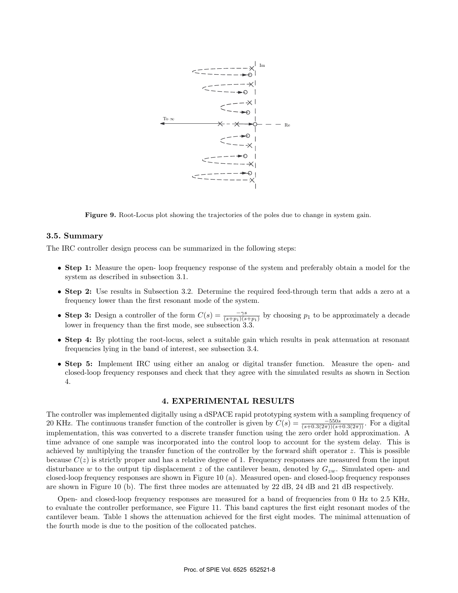

**Figure 9.** Root-Locus plot showing the trajectories of the poles due to change in system gain.

### **3.5. Summary**

The IRC controller design process can be summarized in the following steps:

- **Step 1:** Measure the open- loop frequency response of the system and preferably obtain a model for the system as described in subsection 3.1.
- **Step 2:** Use results in Subsection 3.2. Determine the required feed-through term that adds a zero at a frequency lower than the first resonant mode of the system.
- **Step 3:** Design a controller of the form  $C(s) = \frac{-\gamma s}{(s+p_1)(s+p_1)}$  by choosing  $p_1$  to be approximately a decade lower in frequency than the first mode, see subsection 3.3.
- **Step 4:** By plotting the root-locus, select a suitable gain which results in peak attenuation at resonant frequencies lying in the band of interest, see subsection 3.4.
- **Step 5:** Implement IRC using either an analog or digital transfer function. Measure the open- and closed-loop frequency responses and check that they agree with the simulated results as shown in Section 4.

# **4. EXPERIMENTAL RESULTS**

The controller was implemented digitally using a dSPACE rapid prototyping system with a sampling frequency of 20 KHz. The continuous transfer function of the controller is given by  $C(s) = \frac{-550s}{(s+0.3(2\pi))(s+0.3(2\pi))}$ . For a digital implementation, this was converted to a discrete transfer function using the zero order hold approximation. A time advance of one sample was incorporated into the control loop to account for the system delay. This is achieved by multiplying the transfer function of the controller by the forward shift operator  $z$ . This is possible because  $C(z)$  is strictly proper and has a relative degree of 1. Frequency responses are measured from the input disturbance w to the output tip displacement z of the cantilever beam, denoted by  $G_{zw}$ . Simulated open- and closed-loop frequency responses are shown in Figure 10 (a). Measured open- and closed-loop frequency responses are shown in Figure 10 (b). The first three modes are attenuated by 22 dB, 24 dB and 21 dB respectively.

Open- and closed-loop frequency responses are measured for a band of frequencies from 0 Hz to 2.5 KHz, to evaluate the controller performance, see Figure 11. This band captures the first eight resonant modes of the cantilever beam. Table 1 shows the attenuation achieved for the first eight modes. The minimal attenuation of the fourth mode is due to the position of the collocated patches.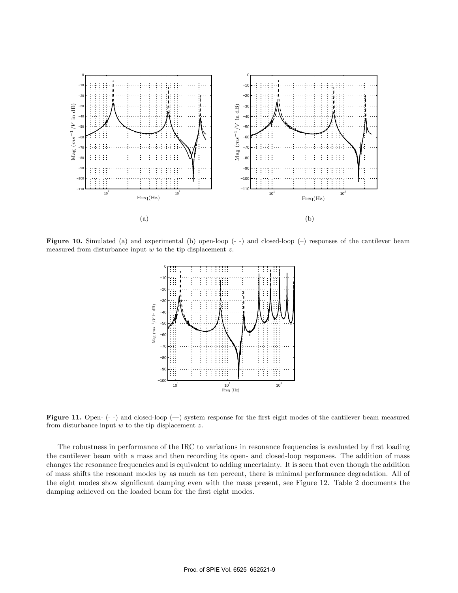

**Figure 10.** Simulated (a) and experimental (b) open-loop (--) and closed-loop (-) responses of the cantilever beam measured from disturbance input  $w$  to the tip displacement  $z$ .



Figure 11. Open- (- -) and closed-loop (-) system response for the first eight modes of the cantilever beam measured from disturbance input  $w$  to the tip displacement  $z$ .

The robustness in performance of the IRC to variations in resonance frequencies is evaluated by first loading the cantilever beam with a mass and then recording its open- and closed-loop responses. The addition of mass changes the resonance frequencies and is equivalent to adding uncertainty. It is seen that even though the addition of mass shifts the resonant modes by as much as ten percent, there is minimal performance degradation. All of the eight modes show significant damping even with the mass present, see Figure 12. Table 2 documents the damping achieved on the loaded beam for the first eight modes.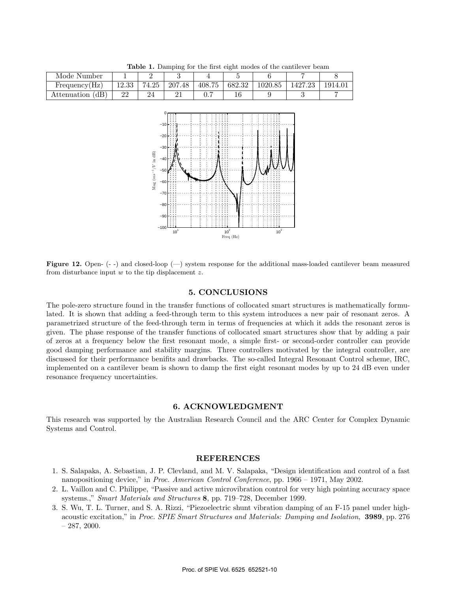| <b>Table 1.</b> Damping for the first eight modes of the cantilever beam |       |       |        |        |        |         |         |         |  |  |  |
|--------------------------------------------------------------------------|-------|-------|--------|--------|--------|---------|---------|---------|--|--|--|
| Mode Number                                                              |       |       |        |        |        |         |         |         |  |  |  |
| Frequency(Hz)                                                            | 12.33 | 74.25 | 207.48 | 408.75 | 682.32 | 1020.85 | 1427.23 | 1914.01 |  |  |  |
| Attenuation (dB)                                                         | 22    |       |        |        |        |         |         |         |  |  |  |



Figure 12. Open- (- -) and closed-loop (-) system response for the additional mass-loaded cantilever beam measured from disturbance input  $w$  to the tip displacement  $z$ .

### **5. CONCLUSIONS**

The pole-zero structure found in the transfer functions of collocated smart structures is mathematically formulated. It is shown that adding a feed-through term to this system introduces a new pair of resonant zeros. A parametrized structure of the feed-through term in terms of frequencies at which it adds the resonant zeros is given. The phase response of the transfer functions of collocated smart structures show that by adding a pair of zeros at a frequency below the first resonant mode, a simple first- or second-order controller can provide good damping performance and stability margins. Three controllers motivated by the integral controller, are discussed for their performance benifits and drawbacks. The so-called Integral Resonant Control scheme, IRC, implemented on a cantilever beam is shown to damp the first eight resonant modes by up to 24 dB even under resonance frequency uncertainties.

### **6. ACKNOWLEDGMENT**

This research was supported by the Australian Research Council and the ARC Center for Complex Dynamic Systems and Control.

# **REFERENCES**

- 1. S. Salapaka, A. Sebastian, J. P. Clevland, and M. V. Salapaka, "Design identification and control of a fast nanopositioning device," in *Proc. American Control Conference*, pp. 1966 – 1971, May 2002.
- 2. L. Vaillon and C. Philippe, "Passive and active microvibration control for very high pointing accuracy space systems.," *Smart Materials and Structures* **8**, pp. 719–728, December 1999.
- 3. S. Wu, T. L. Turner, and S. A. Rizzi, "Piezoelectric shunt vibration damping of an F-15 panel under highacoustic excitation," in *Proc. SPIE Smart Structures and Materials: Damping and Isolation*, **3989**, pp. 276  $-287, 2000.$